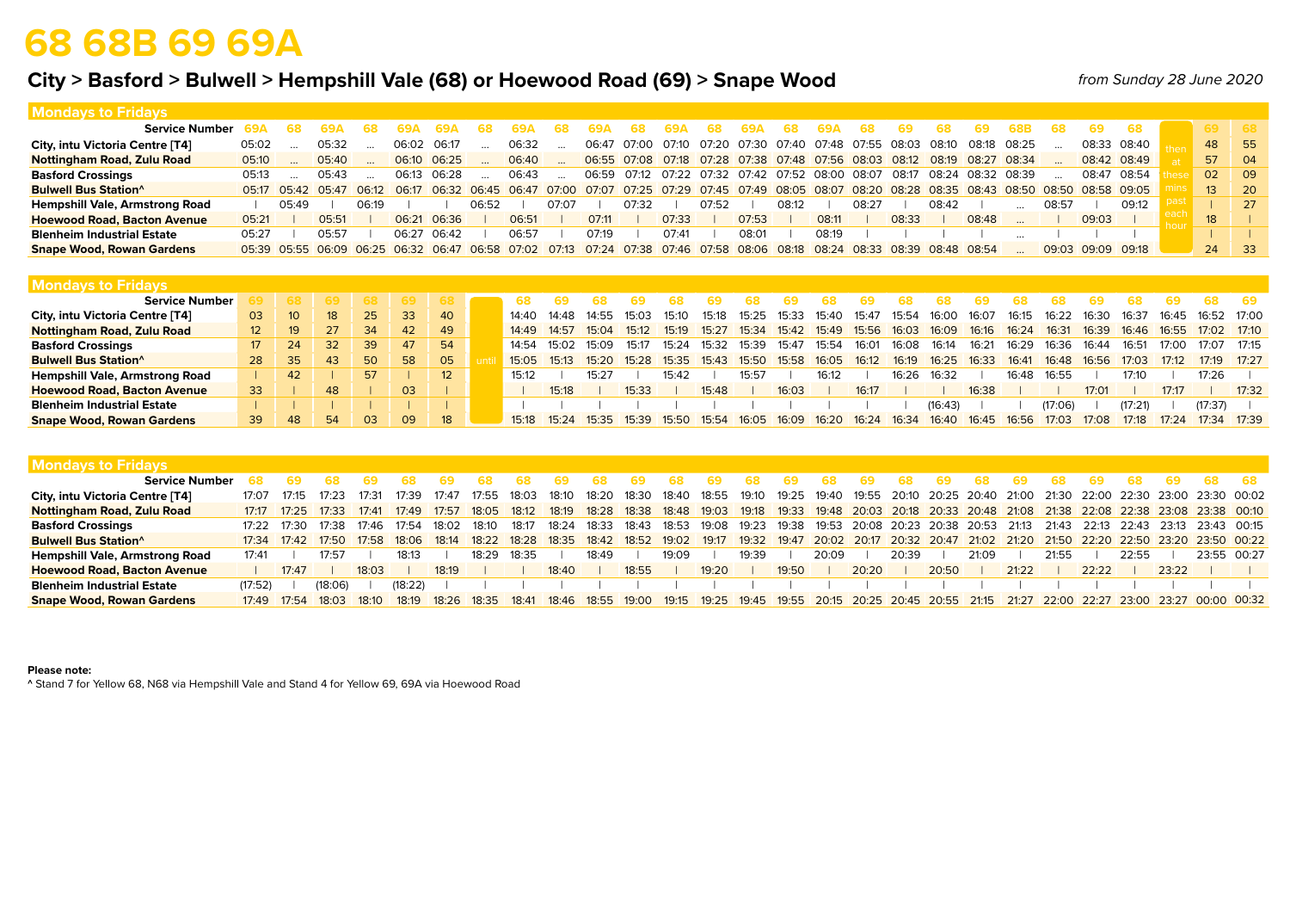## **68 68B 69 69A**

### **City > Basford > Bulwell > Hempshill Vale (68) or Hoewood Road (69) > Snape Wood**

*from Sunday 28 June 2020*

| Mondavs to Fridavs                      |       |                   |       |       |             |             |       |                                                 |       |       |             |                         |       |       |       |       |                                                                                           |       |       |                   |       |                   |       |                 |      |
|-----------------------------------------|-------|-------------------|-------|-------|-------------|-------------|-------|-------------------------------------------------|-------|-------|-------------|-------------------------|-------|-------|-------|-------|-------------------------------------------------------------------------------------------|-------|-------|-------------------|-------|-------------------|-------|-----------------|------|
| <b>Service Number</b>                   |       |                   |       |       |             |             |       |                                                 |       |       | -68         |                         |       |       | 68    |       |                                                                                           |       |       |                   |       | 69.               | -68   |                 | -68  |
| City, intu Victoria Centre [T4]         | 05:02 |                   | 05:32 |       | 06:02 06:17 |             |       | 06:32                                           |       |       | 06:47 07:00 | 07:10 07:20 07:30 07:40 |       |       |       |       | 07:48 07:55 08:03                                                                         |       | 08.10 | 08:18 08:25       |       | 08:33 08:40       |       | 48              | - 55 |
| Nottingham Road, Zulu Road              | 05:10 |                   | 05:40 |       | 06:10 06:25 |             |       | 06:40                                           |       |       |             |                         |       |       |       |       | 06:55 07:08 07:18 07:28 07:38 07:48 07:56 08:03 08:12 08:19 08:27 08:34                   |       |       |                   |       | 08:42 08:49       |       | 57              | 04   |
| <b>Basford Crossings</b>                | 05:13 |                   | 05:43 |       | 06:13 06:28 |             |       | 06:43                                           |       |       |             |                         |       |       |       |       | 06:59 07:12 07:22 07:32 07:42 07:52 08:00 08:07 08:17                                     |       |       | 08:24 08:32 08:39 |       | 08:47 08:54       |       | 02              | 09   |
| <b>Bulwell Bus Station</b> <sup>^</sup> |       | 05:17 05:42 05:47 |       |       |             |             |       | 06:12 06:17 06:32 06:45 06:47 07:00             |       |       |             |                         |       |       |       |       | 07:07 07:25 07:29 07:45 07:49 08:05 08:07 08:20 08:28 08:35 08:43 08:50 08:50 08:58 09:05 |       |       |                   |       |                   |       | 13 <sup>°</sup> | 20   |
| <b>Hempshill Vale, Armstrong Road</b>   |       | 05:49             |       | 06:19 |             |             | 06:52 |                                                 | 07:07 |       | 07:32       |                         | 07:52 |       | 08:12 |       | 08:27                                                                                     |       | 08:42 |                   | 08:57 |                   | 09:12 |                 | 27   |
| <b>Hoewood Road, Bacton Avenue</b>      | 05:21 |                   | 05:51 |       |             | 06:21 06:36 |       | 06:51                                           |       | 07:11 |             | 07:33                   |       | 07:53 |       | 08:11 |                                                                                           | 08:33 |       | 08:48             |       | 09:03             |       | 18              |      |
| <b>Blenheim Industrial Estate</b>       | 05:27 |                   | 05:57 |       | 06:27       | 06:42       |       | 06:57                                           |       | 07:19 |             | 07.41                   |       | 08:01 |       | 08:19 |                                                                                           |       |       |                   |       |                   |       |                 |      |
| <b>Snape Wood, Rowan Gardens</b>        |       |                   |       |       |             |             |       | 05:39 05:55 06:09 06:25 06:32 06:47 06:58 07:02 |       |       |             |                         |       |       |       |       | 07:13 07:24 07:38 07:46 07:58 08:06 08:18 08:24 08:33 08:39 08:48 08:54                   |       |       |                   |       | 09:03 09:09 09:18 |       | 24              | - 33 |
|                                         |       |                   |       |       |             |             |       |                                                 |       |       |             |                         |       |       |       |       |                                                                                           |       |       |                   |       |                   |       |                 |      |

| <b>Mondays to Fridays</b>               |                  |              |    |    |    |      |       |       |       |                   |       |       |       |       |       |       |       |         |       |       |         |       |         |       |             |       |
|-----------------------------------------|------------------|--------------|----|----|----|------|-------|-------|-------|-------------------|-------|-------|-------|-------|-------|-------|-------|---------|-------|-------|---------|-------|---------|-------|-------------|-------|
| <b>Service Number</b>                   |                  | 68 -         | 69 |    |    |      |       |       |       |                   |       |       |       |       |       |       |       |         |       |       |         |       |         |       |             |       |
| City, intu Victoria Centre [T4]         | 03               | $10^{\circ}$ | 18 | 25 | 33 | 40   | 14:40 | 14:48 | 14:55 | 15:03             | 15:10 | 15:18 | 15:25 | 15:33 | 15:40 | 15:4' | 15:54 | 16:00   | 16:07 | 16:15 | 16:22   | 16:30 | 16:37   | 16:45 | 16:52 17:00 |       |
| <b>Nottingham Road, Zulu Road</b>       | 12               | 19           |    | 34 | 42 | 49   | 14:49 | 14.57 | 15.04 | 15.12             | 15.19 | 15.27 | 15.34 | 15.42 | 15.49 | 15:56 | 16:03 | 16:09   | 16:16 | 16:24 | 16:31   | 16:39 | 16:46   | 16:55 | 17:02 17:10 |       |
| <b>Basford Crossings</b>                | 17 <sup>17</sup> | 24           | 32 | 39 | 47 | 54   | 14:54 | 15:02 | 15:09 | 15:17             | 15:24 | 15:32 | 15:39 | 15:47 | 15:54 | 16:01 | 16:08 | 16:14   | 16:21 | 16:29 | 16:36   | 16:44 | 16:51   | 17:00 | 17:07       | 17:15 |
| <b>Bulwell Bus Station</b> <sup>^</sup> | 28               | 35           | 43 | 50 | 58 | - 05 | 15:05 | 15:13 | 15:20 | 15:28 15:35 15:43 |       |       | 15:50 | 15:58 | 16:05 | 16:12 | 16:19 | 16:25   | 16:33 | 16:41 | 16:48   | 16:56 | 17:03   | 17:12 | 17.19       | 17:27 |
| <b>Hempshill Vale, Armstrong Road</b>   |                  | 42           |    | 57 |    |      | 15:12 |       | 15:27 |                   | 15:42 |       | 15:57 |       | 16:12 |       | 16.26 | 16:32   |       | 16:48 | 16:55   |       | 17:10   |       | 17:26       |       |
| <b>Hoewood Road, Bacton Avenue</b>      | 33               |              | 48 |    | 03 |      |       | 15:18 |       | 15:33             |       | 15:48 |       | 16:03 |       | 16:17 |       |         | 16:38 |       |         | 17:01 |         | 17.17 |             | 17:32 |
| <b>Blenheim Industrial Estate</b>       |                  |              |    |    |    |      |       |       |       |                   |       |       |       |       |       |       |       | (16:43) |       |       | (17:06) |       | (17:21) |       | (17:37)     |       |
| <b>Snape Wood, Rowan Gardens</b>        | 39               | 48           | 54 | 03 | 09 | 18   | 15.18 | 15.24 | 15:35 | 15.39             | 15:50 | 15:54 | 16:05 | 16:09 | 16:20 | 16:24 | 16:34 | 16:40   | 16:45 | 16:56 | 17:03   | 17:08 | 17:18   | 17:24 | 17:34 17:39 |       |

| <b>Mondays to Fridays</b>               |         |             |                         |             |             |       |                     |       |       |                            |             |             |       |       |       |       |       |       |       |       |       |       |                                                                                                 |       |       |             |
|-----------------------------------------|---------|-------------|-------------------------|-------------|-------------|-------|---------------------|-------|-------|----------------------------|-------------|-------------|-------|-------|-------|-------|-------|-------|-------|-------|-------|-------|-------------------------------------------------------------------------------------------------|-------|-------|-------------|
| <b>Service Number</b>                   |         |             |                         |             |             |       |                     |       |       |                            |             |             |       |       |       |       |       |       |       |       |       |       |                                                                                                 |       |       |             |
| City, intu Victoria Centre [T4]         | 17:07   | 17:15       | 17:23                   | 17:31       | 17:39       | 17:47 | 17:55               | 18:03 | 18:10 | 18:20                      | 18:30       | 18:40       | 18:55 | 19:10 |       |       |       |       |       |       |       |       | 19:25 19:40 19:55 20:10 20:25 20:40 21:00 21:30 22:00 22:30 23:00 23:30 00:02                   |       |       |             |
| <b>Nottingham Road, Zulu Road</b>       | 17:17   | 17.25       | 17:33                   |             | 17:41 17:49 |       | $17:57$ 18:05 18:12 |       |       | 18:19  18:28  18:38  18:48 |             |             | 19:03 |       |       |       |       |       |       |       |       |       | 19:18 19:33 19:48 20:03 20:18 20:33 20:48 21:08 21:38 22:08 22:38 23:08 23:38 00:10             |       |       |             |
| <b>Basford Crossings</b>                |         | 17:22 17:30 | 17:38                   | 17:46 17:54 |             | 18:02 | 18:10               | 18:17 | 18:24 | 18:33                      |             | 18:43 18:53 |       |       |       |       |       |       |       |       |       |       | 19:08 19:23 19:38 19:53 20:08 20:23 20:38 20:53 21:13 21:43 22:13 22:43 23:13 23:43 00:15       |       |       |             |
| <b>Bulwell Bus Station</b> <sup>^</sup> |         | 17:34 17:42 | 17:50 17:58 18:06 18:14 |             |             |       | 18:22 18:28 18:35   |       |       |                            | 18:42 18:52 | 19:02       | 19:17 |       |       |       |       |       |       |       |       |       | 19:32 19:47 20:02 20:17 20:32 20:47 21:02 21:20 21:50 22:20 22:50 23:20 23:50 00:22             |       |       |             |
| <b>Hempshill Vale, Armstrong Road</b>   | 17:41   |             | 17.57                   |             | 18.13       |       | 18:29               | 18:35 |       | 18:49                      |             | 19.09       |       | 19:39 |       | 20:09 |       | 20:39 |       | 21:09 |       | 21.55 |                                                                                                 | 22:55 |       | 23:55 00:27 |
| <b>Hoewood Road, Bacton Avenue</b>      |         | 17.47       |                         | 18:03       |             | 18:19 |                     |       | 18:40 |                            | 18:55       |             | 19:20 |       | 19:50 |       | 20:20 |       | 20:50 |       | 21:22 |       | 22:22                                                                                           |       | 23:22 |             |
| <b>Blenheim Industrial Estate</b>       | (17:52) |             | 18:06)                  |             | (18:22)     |       |                     |       |       |                            |             |             |       |       |       |       |       |       |       |       |       |       |                                                                                                 |       |       |             |
| <b>Snape Wood, Rowan Gardens</b>        | 17:49   | 17:54       | 18:03                   | 18:10       | 18:19       | 18:26 | 18:35               | 18:41 | 18:46 | 18:55 19:00                |             |             |       |       |       |       |       |       |       |       |       |       | 19:15 19:25 19:45 19:55 20:15 20:25 20:45 20:55 21:15 21:27 22:00 22:27 23:00 23:27 00:00 00:32 |       |       |             |

#### **Please note:**

**^** Stand 7 for Yellow 68, N68 via Hempshill Vale and Stand 4 for Yellow 69, 69A via Hoewood Road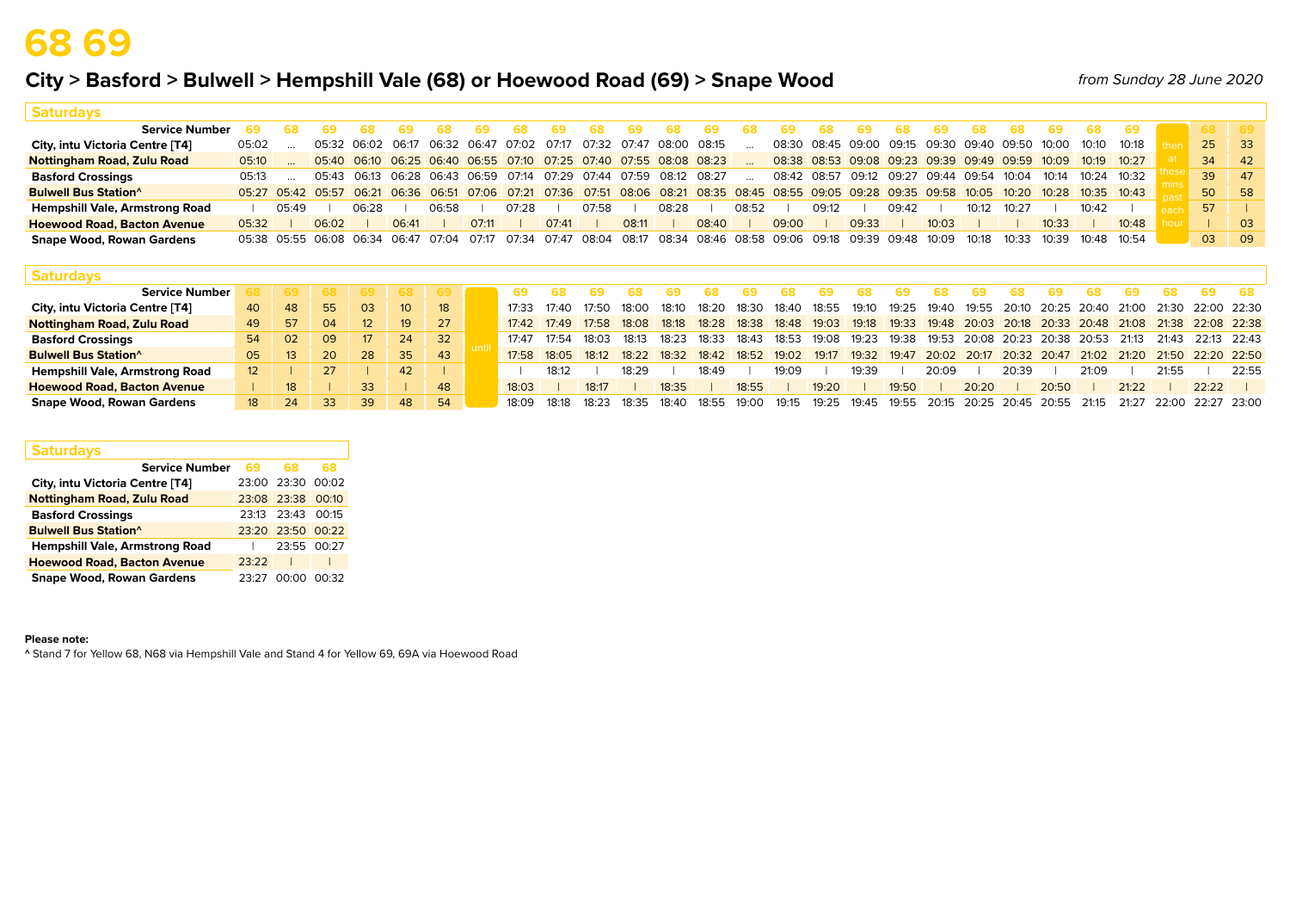### **City > Basford > Bulwell > Hempshill Vale (68) or Hoewood Road (69) > Snape Wood**

*from Sunday 28 June 2020*

| <b>Saturdays</b>                        |                                                                                                                                                       |       |       |                               |       |                                                                                     |       |       |       |                         |       |       |       |       |       |       |                                                 |       |       |       |       |       |                 |       |    |            |
|-----------------------------------------|-------------------------------------------------------------------------------------------------------------------------------------------------------|-------|-------|-------------------------------|-------|-------------------------------------------------------------------------------------|-------|-------|-------|-------------------------|-------|-------|-------|-------|-------|-------|-------------------------------------------------|-------|-------|-------|-------|-------|-----------------|-------|----|------------|
| <b>Service Number</b>                   |                                                                                                                                                       |       |       |                               |       |                                                                                     | 69    |       |       |                         | 69.   | 68.   | 69    |       |       |       |                                                 | 68.   |       |       |       | 69.   | 68              | - 69  |    | 8 69       |
| City, intu Victoria Centre [T4]         | 05:02                                                                                                                                                 |       |       |                               |       | 05:32 06:02 06:17 06:32 06:47 07:02 07:17                                           |       |       |       | 07:32 07:47 08:00 08:15 |       |       |       |       |       |       | 08:30 08:45 09:00 09:15 09:30 09:40 09:50 10:00 |       |       |       |       |       | 10:10 10:18     |       | 25 | $\vert$ 33 |
| <b>Nottingham Road, Zulu Road</b>       | 05:10                                                                                                                                                 |       |       |                               |       | 05:40 06:10 06:25 06:40 06:55 07:10 07:25 07:40 07:55 08:08 08:23                   |       |       |       |                         |       |       |       |       |       |       | 08:38 08:53 09:08 09:23 09:39 09:49 09:59 10:09 |       |       |       |       |       | $10:19$ $10:27$ |       | 34 | 42         |
| <b>Basford Crossings</b>                | 05:13                                                                                                                                                 |       |       |                               |       | 05:43 06:13 06:28 06:43 06:59 07:14 07:29 07:44 07:59 08:12 08:27                   |       |       |       |                         |       |       |       |       |       |       | 08:42 08:57 09:12 09:27 09:44 09:54 10:04       |       |       |       |       | 10:14 | 10:24 10:32     |       | 39 | 47         |
| <b>Bulwell Bus Station</b> <sup>^</sup> | 05:27 05:42 05:57 06:21 06:36 06:51 07:06 07:21 07:36 07:51 08:06 08:21 08:35 08:45 08:55 09:05 09:28 09:35 09:58 10:05 10:05 10:20 10:28 10:35 10:43 |       |       |                               |       |                                                                                     |       |       |       |                         |       |       |       |       |       |       |                                                 |       |       |       |       |       |                 |       | 50 | 58         |
| Hempshill Vale, Armstrong Road          |                                                                                                                                                       | 05:49 |       | 06:28                         |       | 06:58                                                                               |       | 07:28 |       | 07:58                   |       | 08:28 |       | 08:52 |       | 09:12 |                                                 | 09:42 |       | 10:12 | 10:27 |       | 10:42           |       | 57 |            |
| <b>Hoewood Road, Bacton Avenue</b>      | 05:32                                                                                                                                                 |       | 06:02 |                               | 06:41 |                                                                                     | 07:11 |       | 07:41 |                         | 08:11 |       | 08:40 |       | 09:00 |       | 09:33                                           |       | 10:03 |       |       | 10:33 |                 | 10:48 |    | 03         |
| <b>Snape Wood, Rowan Gardens</b>        |                                                                                                                                                       |       |       | 05:38 05:55 06:08 06:34 06:47 |       | 07:04 07:17 07:34 07:47 08:04 08:17 08:34 08:46 08:58 09:06 09:18 09:39 09:48 10:09 |       |       |       |                         |       |       |       |       |       |       |                                                 |       |       | 10:18 | 10:33 | 10:39 | 10:48 10:54     |       | 03 | 09         |

| <b>Saturdays</b>                        |    |                 |     |         |                 |    |       |             |       |                               |       |        |                                                                                           |       |       |       |       |       |       |       |       |                                                               |       |       |                                                                   |       |
|-----------------------------------------|----|-----------------|-----|---------|-----------------|----|-------|-------------|-------|-------------------------------|-------|--------|-------------------------------------------------------------------------------------------|-------|-------|-------|-------|-------|-------|-------|-------|---------------------------------------------------------------|-------|-------|-------------------------------------------------------------------|-------|
| <b>Service Number</b>                   |    |                 | -68 | -69 - 1 | <b>68</b>       |    |       |             |       |                               |       |        |                                                                                           |       |       |       |       |       |       |       |       |                                                               |       |       | 69                                                                |       |
| City, intu Victoria Centre [T4]         | 40 | -48             | 55  | 03      | 10 <sup>°</sup> | 18 |       | 17:33 17:40 | 17:50 | 18:00                         | 18:10 | 18∙20. | 18:30                                                                                     | 18:40 | 18:55 | 19:10 | 19:25 |       |       |       |       |                                                               |       |       | 19:40  19:55  20:10  20:25  20:40  21:00  21:30  22:00  22:30     |       |
| <b>Nottingham Road, Zulu Road</b>       | 49 | - 57            | 04  |         | 19              | 27 |       |             |       | 17:42 17:49 17:58 18:08 18:18 |       |        | 18:28 18:38 18:48 19:03 19:18 19:33 19:48 20:03 20:18 20:33 20:48 21:08 21:38 22:08 22:38 |       |       |       |       |       |       |       |       |                                                               |       |       |                                                                   |       |
| <b>Basford Crossings</b>                | 54 | - 02            | 09  | 17      | 24 <sup>7</sup> | 32 | 17:47 | 17.54       | 18:03 | 18:13                         | 18:23 | 18:33  | 18:43                                                                                     | 18:53 | 19:08 |       |       |       |       |       |       | 19:23  19:38  19:53  20:08  20:23  20:38  20:53  21:13  21:43 |       |       | 22:13 22:43                                                       |       |
| <b>Bulwell Bus Station</b> <sup>^</sup> | 05 | 13 <sup>°</sup> | 20  | 28      | 35              | 43 |       | 17:58 18:05 |       |                               |       |        | 18:12 18:22 18:32 18:42 18:52 19:02                                                       |       | 19:17 |       |       |       |       |       |       |                                                               |       |       | 19:32 19:47 20:02 20:17 20:32 20:47 21:02 21:20 21:50 22:20 22:50 |       |
| <b>Hempshill Vale, Armstrong Road</b>   |    |                 | 27  |         | 42              |    |       | 18:12       |       | 18:29                         |       | 18:49  |                                                                                           | 19.09 |       | 19:39 |       | 20:09 |       | 20:39 |       | 21:09                                                         |       | 21:55 |                                                                   | 22:55 |
| <b>Hoewood Road, Bacton Avenue</b>      |    | 18              |     | 33      |                 | 48 | 18:03 |             | 18.17 |                               | 18:35 |        | 18:55                                                                                     |       | 19:20 |       | 19:50 |       | 20:20 |       | 20:50 |                                                               | 21.22 |       | 22:22                                                             |       |
| <b>Snape Wood, Rowan Gardens</b>        | 18 | 24              | 33  | 39      | 48              | 54 | 18.09 | 18∙18       | 18.23 | 18:35                         | 18∙40 | 18.55  | 19.00                                                                                     | 19:15 | 19:25 | 19:45 | 19:55 |       |       |       |       |                                                               |       |       | 20:15 20:25 20:45 20:55 21:15 21:27 22:00 22:27 23:00             |       |

| <b>Saturdays</b>                        |       |                   |       |
|-----------------------------------------|-------|-------------------|-------|
| <b>Service Number</b>                   | 69    | 68                | 68    |
| City, intu Victoria Centre [T4]         |       | 23:00 23:30       | 00:02 |
| <b>Nottingham Road, Zulu Road</b>       |       | 23:08 23:38       | 00:10 |
| <b>Basford Crossings</b>                | 23:13 | 23:43             | 00.15 |
| <b>Bulwell Bus Station</b> <sup>^</sup> |       | 23:20 23:50 00:22 |       |
| <b>Hempshill Vale, Armstrong Road</b>   |       | 23:55             | 00:27 |
| <b>Hoewood Road, Bacton Avenue</b>      | 23.22 |                   |       |
| <b>Snape Wood, Rowan Gardens</b>        | 23.27 | no.oo             | ∩∩∙32 |

### **Please note:**

**^** Stand 7 for Yellow 68, N68 via Hempshill Vale and Stand 4 for Yellow 69, 69A via Hoewood Road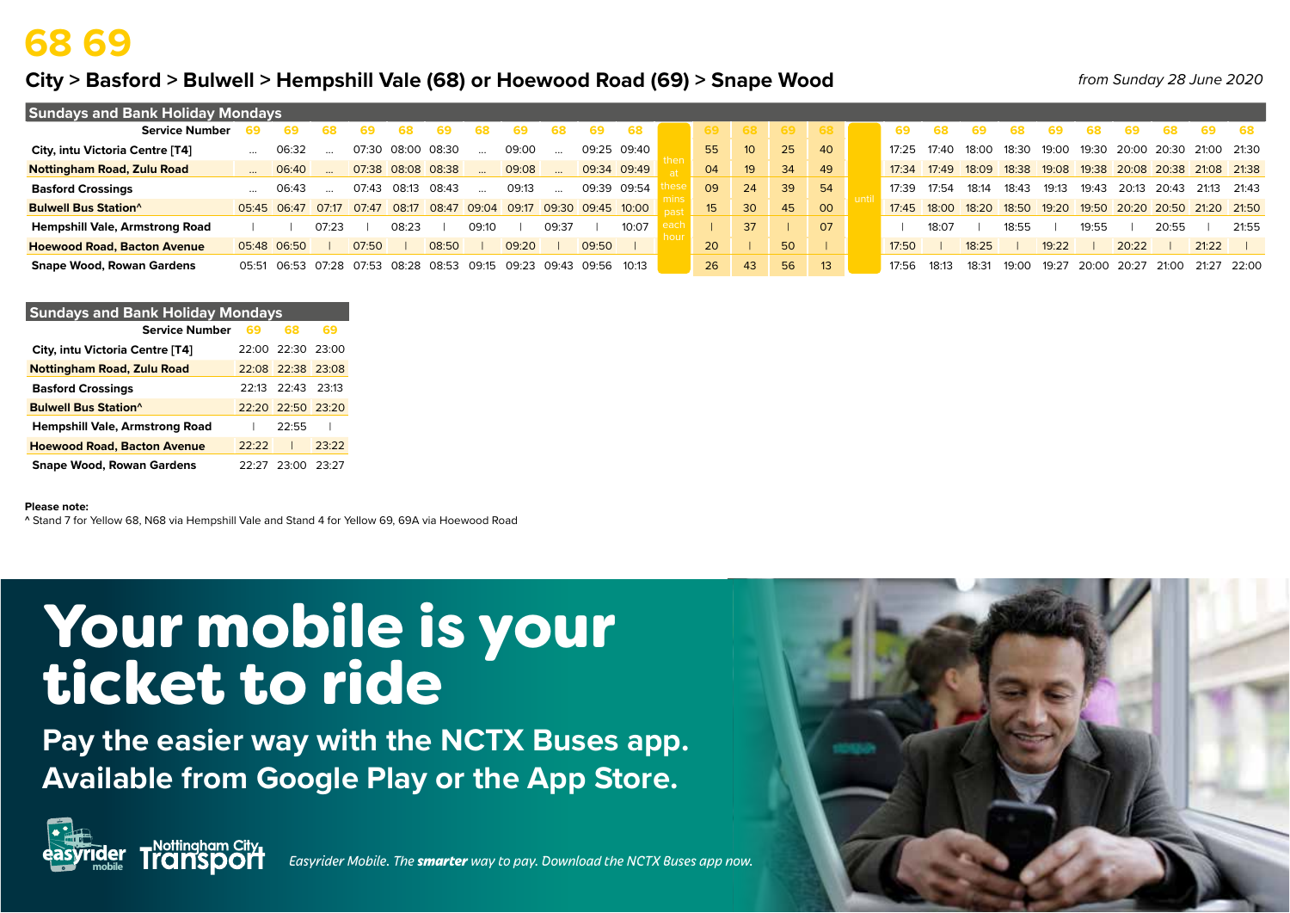## **68 69**

### **City > Basford > Bulwell > Hempshill Vale (68) or Hoewood Road (69) > Snape Wood**

*from Sunday 28 June 2020*

| <b>Sundays and Bank Holiday Mondays</b> |           |             |       |       |       |             |       |             |       |                   |             |                 |    |                 |                 |       |       |       |       |       |             |       |                                           |             |             |
|-----------------------------------------|-----------|-------------|-------|-------|-------|-------------|-------|-------------|-------|-------------------|-------------|-----------------|----|-----------------|-----------------|-------|-------|-------|-------|-------|-------------|-------|-------------------------------------------|-------------|-------------|
| <b>Service Number</b>                   |           |             |       |       |       |             |       |             |       |                   | 68          | 69.             |    | 69              | 68              |       |       |       |       |       |             |       | 68                                        | 69          | -68         |
| City, intu Victoria Centre [T4]         | $\cdots$  | 06:32       |       | 07:30 | 08:00 | 08:30       |       | 09:00       |       |                   | 09:25 09:40 | 55              | 10 | 25 <sup>2</sup> | 40              | 17:25 | 17:40 | 18:00 | 18:30 | 19:00 |             |       | 19:30 20:00 20:30                         | 21:00 21:30 |             |
| Nottingham Road, Zulu Road              | $\cdots$  | 06:40       |       | 07:38 |       | 08:08 08:38 |       | 09:08       |       |                   | 09:34 09:49 | 04              | 19 | 34              | 49              | 17:34 | 17.49 | 18:09 |       |       |             |       | 18:38 19:08 19:38 20:08 20:38 21:08 21:38 |             |             |
| <b>Basford Crossings</b>                | $\ddotsc$ | 06:43       |       | 07:43 | 08:13 | 08:43       |       | 09:13       |       |                   | 09:39 09:54 | 09              | 24 | 39              | 54              | 17:39 | 17.54 | 18:14 | 18:43 | 19:13 | 19:43       | 20:13 | 20:43                                     | 21.13       | 21:43       |
| <b>Bulwell Bus Station</b> <sup>^</sup> |           | 05:45 06:47 | 07:17 | 07:47 | 08:17 | 08:47       | 09:04 | 09:17       |       | 09:30 09:45 10:00 |             | 15 <sup>2</sup> | 30 | 45              | 00              | 17:45 | 18:00 | 18:20 | 18:50 |       |             |       | 19:20 19:50 20:20 20:50 21:20 21:50       |             |             |
| <b>Hempshill Vale, Armstrong Road</b>   |           |             | 07:23 |       | 08:23 |             | 09:10 |             | 09:37 |                   | 10:07       |                 | 37 |                 | 07              |       | 18:07 |       | 18:55 |       | 19:55       |       | 20:55                                     |             | 21:55       |
| <b>Hoewood Road, Bacton Avenue</b>      |           | 05:48 06:50 |       | 07:50 |       | 08:50       |       | 09:20       |       | 09:50             |             | 20              |    | 50              |                 | 17:50 |       | 18:25 |       | 19:22 |             | 20:22 |                                           | 21:22       |             |
| <b>Snape Wood, Rowan Gardens</b>        | 05:51     | 06:53       | 07:28 | 07:53 | 08:28 | 08:53       | 09:15 | 09:23 09:43 |       | 09:56 10:13       |             | 26              | 43 | 56              | 13 <sup>2</sup> | 17:56 | 18.13 | 18:3' | 19:00 | 19:27 | 20:00 20:27 |       | 21:00                                     |             | 21:27 22:00 |

| <b>Sundays and Bank Holiday Mondays</b> |       |                         |       |
|-----------------------------------------|-------|-------------------------|-------|
| <b>Service Number</b>                   | 69    | 68                      | 69    |
| City, intu Victoria Centre [T4]         |       | 22:00 22:30 23:00       |       |
| <b>Nottingham Road, Zulu Road</b>       |       | 22:08 22:38 23:08       |       |
| <b>Basford Crossings</b>                |       | $22.13$ $22.43$ $23.13$ |       |
| <b>Bulwell Bus Station</b> <sup>^</sup> |       | $22.20$ $22.50$ $23.20$ |       |
| <b>Hempshill Vale, Armstrong Road</b>   |       | 22.55                   |       |
| <b>Hoewood Road, Bacton Avenue</b>      | 22.22 |                         | 23.22 |
| <b>Snape Wood, Rowan Gardens</b>        | フフ・フフ | 23:00                   | 23.27 |

### **Please note:**

**^** Stand 7 for Yellow 68, N68 via Hempshill Vale and Stand 4 for Yellow 69, 69A via Hoewood Road

# Your mobile is your ticket to ride

**Pay the easier way with the NCTX Buses app. Available from Google Play or the App Store.**



**mobile** *Easyrider Mobile. The smarter way to pay. Download the NCTX Buses app now.*

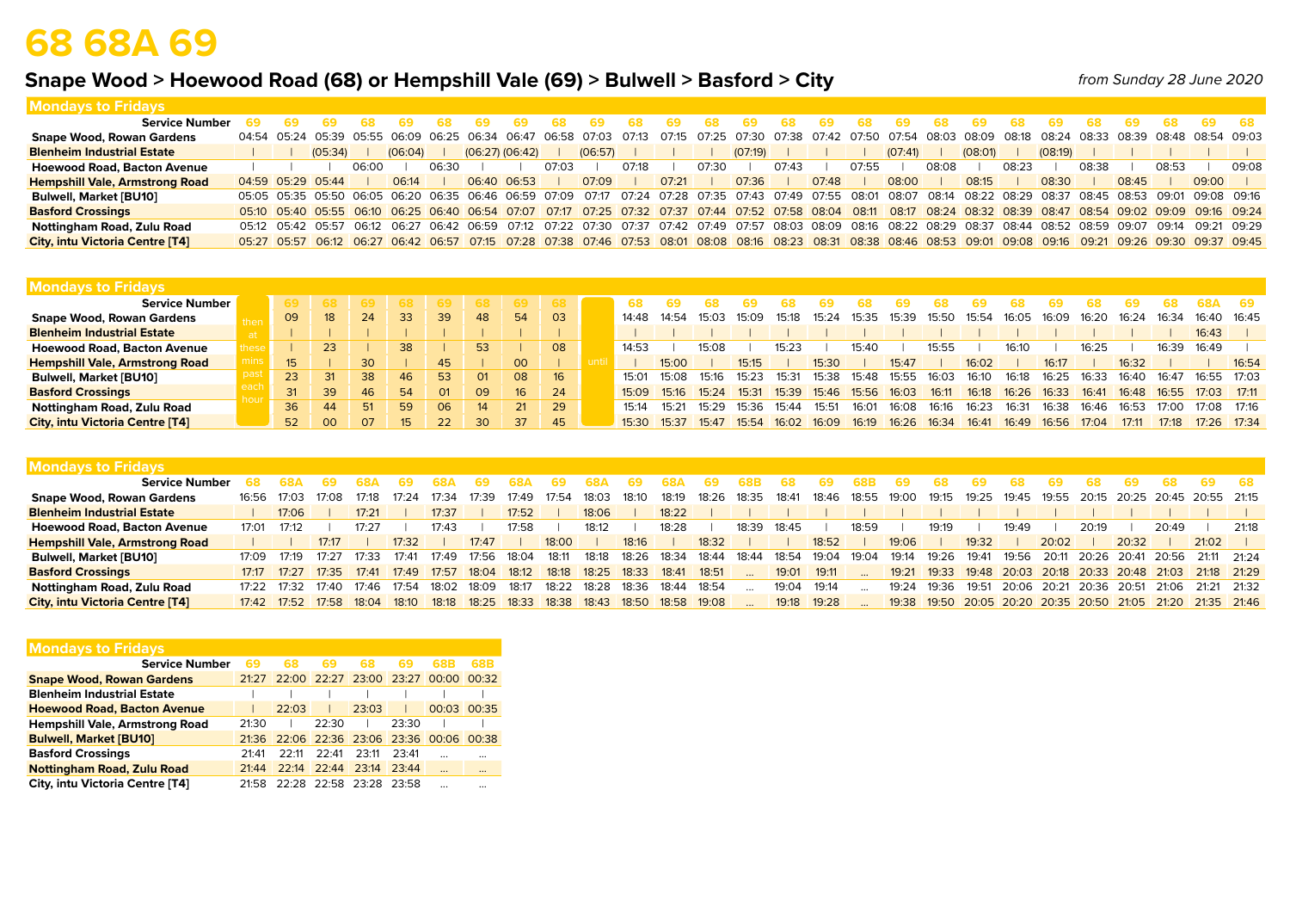# **68 68A 69**

**Mondays to Fridays**

## **Snape Wood > Hoewood Road (68) or Hempshill Vale (69) > Bulwell > Basford > City**

*from Sunday 28 June 2020*

| ויוטוועמיט נט דוועמיט                  |  |                   |       |         |       |             |                     |       |                                                                                                                                                                         |       |       |       |         |       |       |       |         |       |           |       |         |       |       |       |       |       |
|----------------------------------------|--|-------------------|-------|---------|-------|-------------|---------------------|-------|-------------------------------------------------------------------------------------------------------------------------------------------------------------------------|-------|-------|-------|---------|-------|-------|-------|---------|-------|-----------|-------|---------|-------|-------|-------|-------|-------|
| <b>Service Number</b>                  |  |                   |       |         |       |             | 69                  | 68.   | 69.                                                                                                                                                                     | -68   | -69   | 68.   | -69     | -68   | 69.   |       | 69.     | 68.   |           |       | 69.     |       |       |       | 69.   |       |
| <b>Snape Wood, Rowan Gardens</b>       |  |                   |       |         |       |             |                     |       | 04:54 05:24 05:39 05:55 06:09 06:25 06:34 06:47 06:58 07:03 07:13 07:13 07:15 07:25 07:30 07:38 07:42 07:50 07:54 08:03 08:09 08:18 08:24 08:33 08:39 08:48 08:54 09:03 |       |       |       |         |       |       |       |         |       |           |       |         |       |       |       |       |       |
| <b>Blenheim Industrial Estate</b>      |  | (05:34)           |       | (06:04) |       |             | $(06:27)$ $(06:42)$ |       | (06:57)                                                                                                                                                                 |       |       |       | (07:19) |       |       |       | (07:41) |       | $(08:01)$ |       | (08:19) |       |       |       |       |       |
| <b>Hoewood Road, Bacton Avenue</b>     |  |                   | 06:00 |         | 06:30 |             |                     | 07:03 |                                                                                                                                                                         | 07:18 |       | 07:30 |         | 07:43 |       | 07:55 |         | 08:08 |           | 08:23 |         | 08:38 |       | 08:53 |       | 09:08 |
| <b>Hempshill Vale, Armstrong Road</b>  |  | 04:59 05:29 05:44 |       | 06:14   |       | 06:40 06:53 |                     |       | 07:09                                                                                                                                                                   |       | 07:21 |       | 07:36   |       | 07:48 |       | 08:00   |       | 08:15     |       | 08:30   |       | 08:45 |       | 09:00 |       |
| <b>Bulwell, Market [BU10]</b>          |  |                   |       |         |       |             |                     |       | 05:05 05:35 05:50 06:05 06:20 06:35 06:46 06:59 07:09 07:17 07:24 07:28 07:35 07:43 07:49 07:55 08:01 08:07 08:14 08:22 08:29 08:27 08:45 08:53 09:01 09:08 09:16       |       |       |       |         |       |       |       |         |       |           |       |         |       |       |       |       |       |
| <b>Basford Crossings</b>               |  |                   |       |         |       |             |                     |       | 05:10 05:40 05:55 06:10 06:25 06:40 06:54 07:07 07:17 07:25 07:32 07:37 07:44 07:52 07:52 08:04 08:11 08:17 08:24 08:32 08:39 08:47 08:54 09:02 09:09 09:16 09:24       |       |       |       |         |       |       |       |         |       |           |       |         |       |       |       |       |       |
| Nottingham Road, Zulu Road             |  |                   |       |         |       |             |                     |       | 05:12 05:42 05:57 06:12 06:27 06:42 06:59 07:12 07:22 07:30 07:37 07:42 07:42 07:49 07:57 08:03 08:09 08:16 08:22 08:29 08:37 08:44 08:52 08:59 09:07 09:14 09:21 09:29 |       |       |       |         |       |       |       |         |       |           |       |         |       |       |       |       |       |
| <b>City, intu Victoria Centre [T4]</b> |  |                   |       |         |       |             |                     |       | 05:27 05:57 06:12 06:27 06:42 06:57 07:15 07:28 07:38 07:46 07:53 08:01 08:08 08:16 08:23 08:31 08:38 08:46 08:53 09:01 09:08 09:16 09:21 09:26 09:30 09:37 09:45       |       |       |       |         |       |       |       |         |       |           |       |         |       |       |       |       |       |
|                                        |  |                   |       |         |       |             |                     |       |                                                                                                                                                                         |       |       |       |         |       |       |       |         |       |           |       |         |       |       |       |       |       |

| <b>Mondays to Fridays</b>              |     |                 |         |      |    |                |                 |    |       |       |       |       |       |       |       |       |       |       |       |       |       |       |       |                     |       |
|----------------------------------------|-----|-----------------|---------|------|----|----------------|-----------------|----|-------|-------|-------|-------|-------|-------|-------|-------|-------|-------|-------|-------|-------|-------|-------|---------------------|-------|
| <b>Service Number</b>                  |     | -68             | -69 - 1 | -68  |    |                |                 |    |       |       |       |       |       |       |       |       |       |       |       |       |       |       |       |                     |       |
| <b>Snape Wood, Rowan Gardens</b>       | 09  | 18              | 24      | -33- | 39 | 48             | -54             | 03 | 14:48 | 14:54 | 15:03 | 15.09 | 15:18 | 15:24 | 15:35 | 15:39 | 15:50 | 15:54 | 16:05 | 16:09 | 16:20 | 16:24 | 16:34 | 16:40 16:45         |       |
| <b>Blenheim Industrial Estate</b>      |     |                 |         |      |    |                |                 |    |       |       |       |       |       |       |       |       |       |       |       |       |       |       |       | 16:43               |       |
| <b>Hoewood Road, Bacton Avenue</b>     |     | 23              |         | 38   |    | 53             |                 | 08 | 14:53 |       | 5.08  |       | 15.25 |       | 15:40 |       | 15:55 |       | 16:10 |       | 16:25 |       | 16:39 | 16:49               |       |
| <b>Hempshill Vale, Armstrong Road</b>  |     |                 | 30      |      | 45 |                | 00 <sub>o</sub> |    |       | 15:00 |       | 15:15 |       | 15:30 |       | 15:47 |       | 16:02 |       | 16:17 |       | 16:32 |       |                     | 16:54 |
| <b>Bulwell, Market [BU10]</b>          | 23. | 31              | 38      | 46   | 53 | O <sub>1</sub> | 08              | 16 | 15:01 | 15:08 | 15:16 | 15.23 | 15:31 | 15:38 | 15:48 | 15:55 | 16:03 | 16:10 | 16:18 | 16:25 | 16:33 | 16:40 | 16:47 | 16:55               | 17:03 |
| <b>Basford Crossings</b>               | 31  | 39              | 46      | 54   | 01 | 09             | 16              | 24 | 15:09 | 15.16 | 15:24 | 15:31 | 15.39 | 15.46 | 15.56 | 16.03 | 16:11 | 16:18 | 16:26 | 16:33 | 16:41 | 16:48 |       | $16:55$ 17:03 17:11 |       |
| Nottingham Road, Zulu Road             | 36  | 44              | 51      | 59   | 06 | 14             | 21 <sub>1</sub> | 29 | 15:14 | 15:21 | 15.29 | 15:36 | 15.44 | 15:51 | 16:01 | 16:08 | 16:16 | 16:23 | 16:3' | 16:38 | 16.46 | 16:53 | 17.00 | 17 <sup>.</sup> 08  | 17:16 |
| <b>City, intu Victoria Centre [T4]</b> | 52  | 00 <sup>2</sup> | 07      | 15   | 22 | 30             | 37              | 45 | 15:30 | 15.37 | 15.47 | 15.54 | 16.02 | 16.09 | 16.19 | 16:26 | 16:34 | 16:4' | 16:49 | 16:56 | 17:04 | 17:11 | 17.18 | $17:26$ $17:34$     |       |

| <b>Mondays to Fridays</b>              |             |                     |       |             |       |       |                   |       |       |       |             |                   |       |       |             |       |             |             |       |       |       |                               |       |       |       |                                                             |       |
|----------------------------------------|-------------|---------------------|-------|-------------|-------|-------|-------------------|-------|-------|-------|-------------|-------------------|-------|-------|-------------|-------|-------------|-------------|-------|-------|-------|-------------------------------|-------|-------|-------|-------------------------------------------------------------|-------|
| <b>Service Number</b>                  |             |                     |       |             |       |       |                   | 684   | 69    |       | (59)        |                   |       |       | -68         | 69.   |             | 69          | 68    | 69    |       | 69                            | 68    |       |       | 69                                                          | - 68  |
| <b>Snape Wood, Rowan Gardens</b>       | 16:56       | 17:03               | 17:08 | 17:18       | 17:24 | 17:34 | 17:39             | 17:49 | 17:54 | 18:03 | 18:10       | 18:19             | 18:26 | 18:35 | 18:41       | 18:46 | 18:55 19:00 |             | 19:15 | 19:25 | 19:45 | 19:55                         |       |       |       | 20:15 20:25 20:45 20:55 21:15                               |       |
| <b>Blenheim Industrial Estate</b>      |             | 17:06               |       | 17:21       |       | 17:37 |                   | 17:52 |       | 18:06 |             | 18:22             |       |       |             |       |             |             |       |       |       |                               |       |       |       |                                                             |       |
| <b>Hoewood Road, Bacton Avenue</b>     | 17:01       | 17:12               |       | 17.27       |       | 17:43 |                   | 17:58 |       | 18:12 |             | 18:28             |       | 18:39 | 18:45       |       | 18:59       |             | 19:19 |       | 19:49 |                               | 20:19 |       | 20:49 |                                                             | 21.18 |
| <b>Hempshill Vale, Armstrong Road</b>  |             |                     | 17:17 |             | 17:32 |       | 17:47             |       | 18:00 |       | 18:16       |                   | 18:32 |       |             | 18:52 |             | 19:06       |       | 19:32 |       | 20:02                         |       | 20:32 |       | 21:02                                                       |       |
| <b>Bulwell, Market [BU10]</b>          | 17:09       | 17:19               | 17:27 | 17:33       | 17:41 | 17:49 | 17:56             | 18:04 | 18:11 | 18:18 | 18:26       | 18:34             | 18:44 | 18:44 | 18:54       | 19:04 | 19:04       | 19:14       | 19:26 | 19:41 | 19:56 | 20:11 20:26 20:41 20:56       |       |       |       | 21:11 21:24                                                 |       |
| <b>Basford Crossings</b>               | 17:17       | 17:27               | 17:35 | 17:41       | 17:49 | 17:57 | 18:04 18:12       |       | 18:18 | 18:25 | 18:33 18:41 |                   | 18:51 |       | 19:01       | 19:11 |             | 19:21       |       |       |       |                               |       |       |       | 19:33 19:48 20:03 20:18 20:33 20:48 21:03 21:18 21:29       |       |
| Nottingham Road, Zulu Road             | 17:22 17:32 |                     | 17:40 | 17:46       | 17:54 | 18:02 | 18:09             | 18:17 | 18:22 | 18:28 | 18:36       | 18:44 18:54       |       |       | 19:04       | 19:14 |             | 19:24 19:36 |       | 19:51 |       | 20:06 20:21 20:36 20:51 21:06 |       |       |       | 21:21 21:32                                                 |       |
| <b>City, intu Victoria Centre [T4]</b> |             | 17:42  17:52  17:58 |       | 18:04 18:10 |       | 18:18 | 18:25 18:33 18:38 |       |       | 18:43 |             | 18:50 18:58 19:08 |       |       | 19:18 19:28 |       |             |             |       |       |       |                               |       |       |       | 19:38 19:50 20:05 20:20 20:35 20:50 21:05 21:20 21:35 21:46 |       |

| <b>Mondays to Fridays</b>             |       |       |             |                   |       |                                     |          |
|---------------------------------------|-------|-------|-------------|-------------------|-------|-------------------------------------|----------|
| <b>Service Number</b>                 | 69    | 68    | 69          |                   | 69    | 68R                                 | 68B      |
| <b>Snape Wood, Rowan Gardens</b>      | 21.27 |       | 22:00 22:27 | 23:00             | 23:27 | 00:00 00:32                         |          |
| <b>Blenheim Industrial Estate</b>     |       |       |             |                   |       |                                     |          |
| <b>Hoewood Road, Bacton Avenue</b>    |       | 22.03 |             | 23.03             |       | 00:03                               | 00:35    |
| <b>Hempshill Vale, Armstrong Road</b> | 21:30 |       | 22.30       |                   | 23:30 |                                     |          |
| <b>Bulwell, Market [BU10]</b>         | 21.36 |       |             |                   |       | 22:06 22:36 23:06 23:36 00:06 00:38 |          |
| <b>Basford Crossings</b>              | 21.41 | 22.11 | 22.41       | 23:11             | 23.41 |                                     |          |
| <b>Nottingham Road, Zulu Road</b>     | 21:44 | 22.14 | 22:44       | 23:14             | 23.44 | $\cdots$                            | $\cdots$ |
| City, intu Victoria Centre [T4]       | 21.58 |       |             | 22:28 22:58 23:28 | 23.58 | $\ddotsc$                           |          |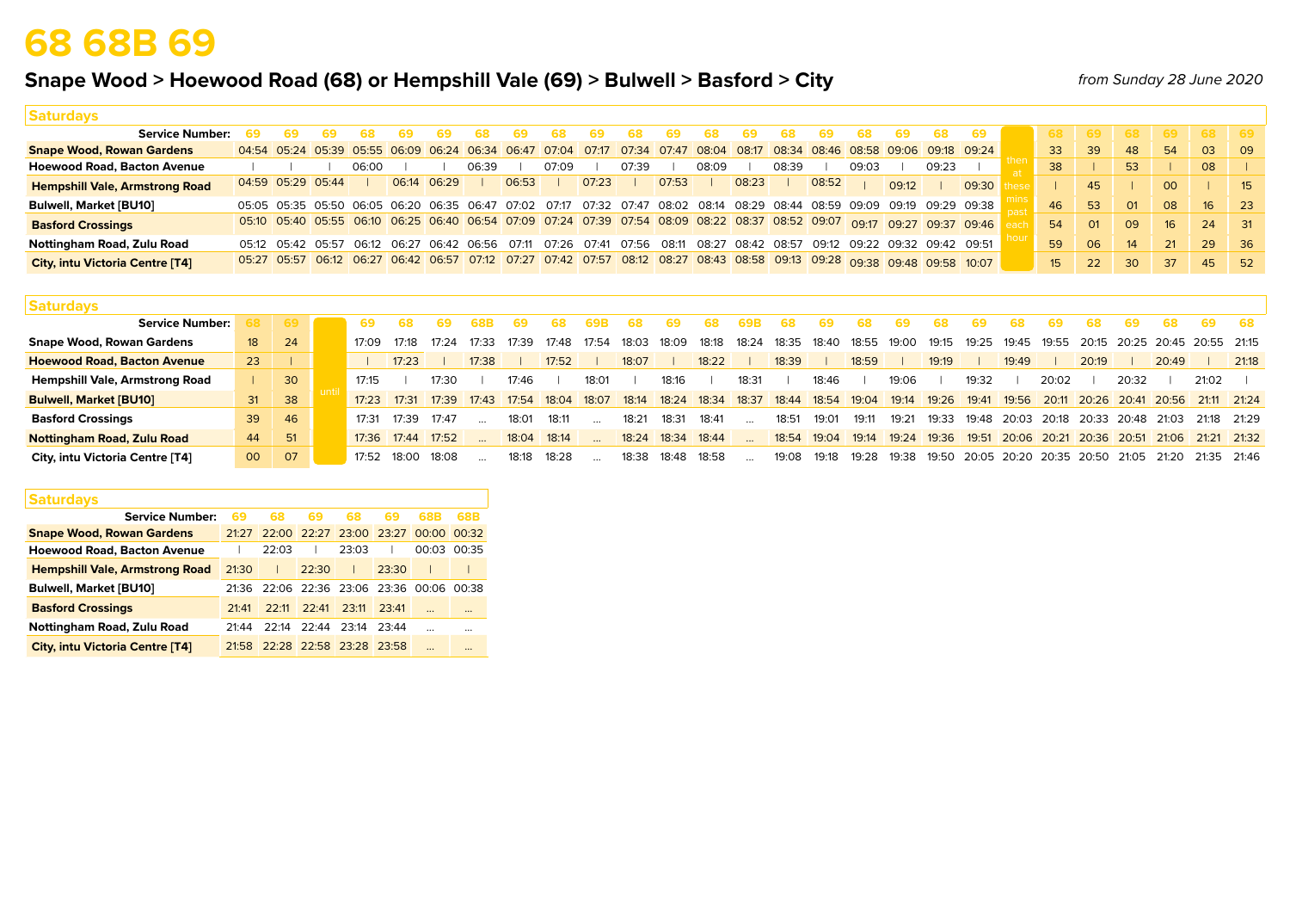# **68 68B 69**

## **Snape Wood > Hoewood Road (68) or Hempshill Vale (69) > Bulwell > Basford > City**

*from Sunday 28 June 2020*

| <b>Saturdays</b>                       |             |       |             |                                                                                                                         |       |       |       |       |             |       |                   |       |       |       |       |       |                               |                                                                                                                         |                 |                |                |                 |                 |                             |
|----------------------------------------|-------------|-------|-------------|-------------------------------------------------------------------------------------------------------------------------|-------|-------|-------|-------|-------------|-------|-------------------|-------|-------|-------|-------|-------|-------------------------------|-------------------------------------------------------------------------------------------------------------------------|-----------------|----------------|----------------|-----------------|-----------------|-----------------------------|
| <b>Service Number:</b>                 |             |       |             |                                                                                                                         |       |       |       |       |             | 69    | 68                |       |       |       |       | 69.   | 68                            | 69                                                                                                                      | 68.             |                | 68             | 69              |                 | <b>69</b>                   |
| <b>Snape Wood, Rowan Gardens</b>       |             |       |             | 04:54 05:24 05:39 05:55 06:09 06:24 06:34 06:47 07:04                                                                   |       |       |       |       |             |       |                   |       |       |       |       |       |                               | 07:17 07:34 07:47 08:04 08:17 08:34 08:46 08:58 09:06 09:18 09:24                                                       | 33              | 39             | 48             | 54              | 03              | $\overline{09}$             |
| <b>Hoewood Road, Bacton Avenue</b>     |             |       | 06:00       |                                                                                                                         | 06:39 |       | 07:09 |       | 07:39       |       | 08:09             |       | 08:39 |       | 09:03 |       | 09:23                         |                                                                                                                         | 38              |                | 53             |                 | 08              |                             |
| <b>Hempshill Vale, Armstrong Road</b>  | 04:59 05:29 | 05:44 |             | 06:14 06:29                                                                                                             |       | 06:53 |       | 07:23 |             | 07:53 |                   | 08:23 |       | 08:52 |       | 09:12 |                               | 09:30                                                                                                                   |                 | 45             |                | 00 <sup>2</sup> |                 | 15 <sup>1</sup>             |
| <b>Bulwell, Market [BU10]</b>          |             |       |             | 05:05 05:35 05:50 06:05 06:20 06:35 06:47 07:02 07:17 07:32 07:47 08:02 08:14 08:29 08:44 08:59 09:09                   |       |       |       |       |             |       |                   |       |       |       |       |       |                               | 09:19 09:29 09:38                                                                                                       | 46              | 53             | O <sub>1</sub> | 08              | 16 <sup>1</sup> | $\overline{23}$             |
| <b>Basford Crossings</b>               |             |       |             |                                                                                                                         |       |       |       |       |             |       |                   |       |       |       |       |       |                               | 05:10 05:40 05:55 06:10 06:25 06:40 06:54 07:09 07:24 07:39 07:54 08:09 08:22 08:37 08:52 09:07 09:17 09:27 09:37 09:46 | 54              | O <sub>1</sub> | 09             | 16              | 24              | $\overline{\phantom{0}}$ 31 |
| Nottingham Road, Zulu Road             | 05:12 05:42 | 05:57 | 06.12 06.27 | 06:42 06:56                                                                                                             |       | 07:11 | 07:26 |       | 07:41 07:56 | 08:11 | 08:27 08:42 08:57 |       |       |       |       |       | 09:12 09:22 09:32 09:42 09:51 |                                                                                                                         | 59              | 06             | 14             | 21              | 29              | - 36                        |
| <b>City, intu Victoria Centre [T4]</b> |             |       |             | 05:27 05:57 06:12 06:27 06:42 06:57 07:12 07:27 07:42 07:57 08:12 08:27 08:43 08:58 09:13 09:28 09:38 09:48 09:58 10:07 |       |       |       |       |             |       |                   |       |       |       |       |       |                               |                                                                                                                         | 15 <sup>2</sup> | 22             | 30             | 37              | 45              | 52                          |

| <b>Saturdays</b>                      |                 |      |  |       |       |       |       |       |       |       |       |       |       |       |                    |       |       |       |       |                   |       |       |                               |       |       |                                     |       |
|---------------------------------------|-----------------|------|--|-------|-------|-------|-------|-------|-------|-------|-------|-------|-------|-------|--------------------|-------|-------|-------|-------|-------------------|-------|-------|-------------------------------|-------|-------|-------------------------------------|-------|
| <b>Service Number:</b>                |                 | 69 I |  | 69    |       |       |       |       |       | 69 B  |       | 69    |       | 693   |                    |       |       | ສອ    |       |                   | 68    | 69    |                               | 69    | 68    | 69                                  | - 68  |
| <b>Snape Wood, Rowan Gardens</b>      | 18 <sup>1</sup> | 24   |  | 17:09 | 17.18 | 17:24 | 17:33 | 17:39 | 17:48 | 17:54 | 18:03 | 18:09 | 18:18 | 18:24 | 18:35              | 18:40 | 18:55 | 19:00 | 19:15 | 19:25             | 19:45 | 19:55 | 20:15                         |       |       | 20:25 20:45 20:55 21:15             |       |
| <b>Hoewood Road, Bacton Avenue</b>    | 23              |      |  |       | 17:23 |       | 17:38 |       | 17:52 |       | 18:07 |       | 18:22 |       | 18:39              |       | 18:59 |       | 19:19 |                   | 19:49 |       | 20:19                         |       | 20:49 |                                     | 21:18 |
| <b>Hempshill Vale, Armstrong Road</b> |                 | 30   |  | 17:15 |       | 17:30 |       | 17:46 |       | 18:01 |       | 18:16 |       | 18:31 |                    | 18:46 |       | 19:06 |       | 19:32             |       | 20:02 |                               | 20:32 |       | 21:02                               |       |
| <b>Bulwell, Market [BU10]</b>         | 31              | 38   |  | 17:23 | 17:31 | 17:39 | 17:43 | 17:54 | 18:04 | 18:07 | 18:14 | 18:24 | 18:34 | 18:37 | 18:44              | 18:54 | 19:04 | 19:14 | 19:26 | 19:41             | 19:56 |       |                               |       |       | 20:11 20:26 20:41 20:56 21:11 21:24 |       |
| <b>Basford Crossings</b>              | 39              | 46   |  | 17:31 | 17:39 | 17:47 |       | 18:01 | 18:11 |       | 18:21 | 18:31 | 18:41 |       | 18:51              | 19:01 | 19:11 | 19:21 | 19:33 | 19:48             | 20:03 | 20:18 | 20:33                         | 20:48 | 21:03 | 21:18 21:29                         |       |
| <b>Nottingham Road, Zulu Road</b>     | 44              | 51   |  | 17:36 | 17:44 | 17:52 |       | 18:04 | 18:14 |       | 18:24 | 18:34 | 18:44 |       | 18:54              | 19:04 | 19:14 | 19:24 | 19:36 | 19:51             |       |       | 20:06 20:21 20:36 20:51 21:06 |       |       | $21:21$ 21:32                       |       |
| City, intu Victoria Centre [T4]       | 00              | 07   |  | 17:52 | 18∙00 | 18:08 |       | 18:18 | 18:28 |       | 18.38 | 18.48 | 18:58 |       | 19 <sup>.</sup> 08 | 19:18 | 19:28 | 19:38 | 19:50 | 20:05 20:20 20:35 |       |       | 20:50 21:05                   |       | 21.20 | 21:35 21:46                         |       |

| <b>Saturdays</b>                       |       |       |             |                         |       |                               |          |
|----------------------------------------|-------|-------|-------------|-------------------------|-------|-------------------------------|----------|
| <b>Service Number:</b>                 | 69    | 68    | 69          | 68                      | 69    | 68B                           | 68B      |
| <b>Snape Wood, Rowan Gardens</b>       | 21.27 |       |             | 22:00 22:27 23:00 23:27 |       | 00.0000032                    |          |
| <b>Hoewood Road, Bacton Avenue</b>     |       | 22:03 |             | 23:03                   |       | 00:03                         | 00:35    |
| <b>Hempshill Vale, Armstrong Road</b>  | 21:30 |       | 22:30       |                         | 23:30 |                               |          |
| <b>Bulwell, Market [BU10]</b>          | 21.36 |       |             |                         |       | 22:06 22:36 23:06 23:36 00:06 | 00:38    |
| <b>Basford Crossings</b>               | 21.41 | 22.11 | 22.41       | 23.11                   | 23:41 | $\ddotsc$                     | $\cdots$ |
| Nottingham Road, Zulu Road             | 21.44 | 22.14 | 22:44 23:14 |                         | 23:44 | $\cdots$                      |          |
| <b>City, intu Victoria Centre [T4]</b> | 21.58 |       |             | 22:28 22:58 23:28 23:58 |       | $\cdots$                      |          |